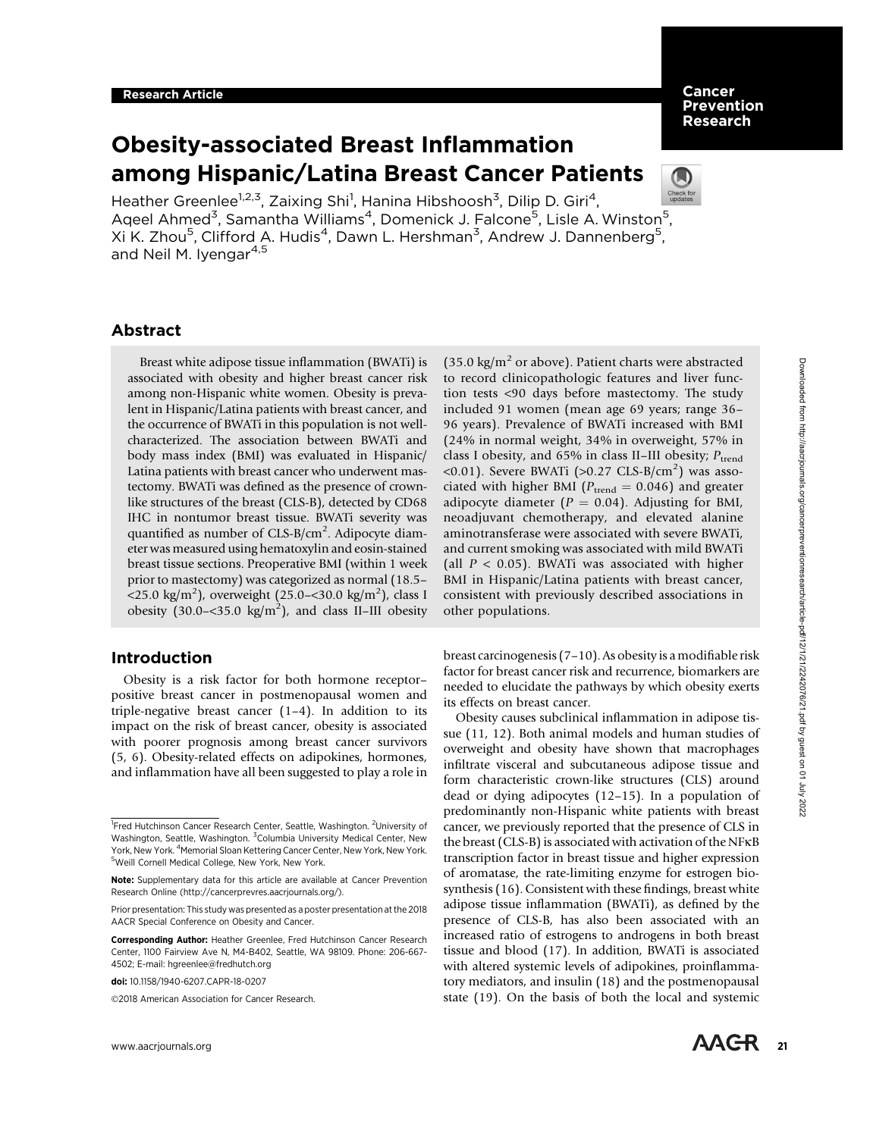Cancer Prevention Research

# Obesity-associated Breast Inflammation among Hispanic/Latina Breast Cancer Patients



# Abstract

Breast white adipose tissue inflammation (BWATi) is associated with obesity and higher breast cancer risk among non-Hispanic white women. Obesity is prevalent in Hispanic/Latina patients with breast cancer, and the occurrence of BWATi in this population is not wellcharacterized. The association between BWATi and body mass index (BMI) was evaluated in Hispanic/ Latina patients with breast cancer who underwent mastectomy. BWATi was defined as the presence of crownlike structures of the breast (CLS-B), detected by CD68 IHC in nontumor breast tissue. BWATi severity was quantified as number of CLS-B/cm<sup>2</sup>. Adipocyte diameter was measured using hematoxylin and eosin-stained breast tissue sections. Preoperative BMI (within 1 week prior to mastectomy) was categorized as normal (18.5– <25.0 kg/m<sup>2</sup>), overweight (25.0–<30.0 kg/m<sup>2</sup>), class I obesity  $(30.0 - 35.0 \text{ kg/m}^2)$ , and class II-III obesity

## Introduction

Obesity is a risk factor for both hormone receptor– positive breast cancer in postmenopausal women and triple-negative breast cancer  $(1-4)$ . In addition to its impact on the risk of breast cancer, obesity is associated with poorer prognosis among breast cancer survivors (5, 6). Obesity-related effects on adipokines, hormones, and inflammation have all been suggested to play a role in

©2018 American Association for Cancer Research.

(35.0 kg/m<sup>2</sup> or above). Patient charts were abstracted to record clinicopathologic features and liver function tests <90 days before mastectomy. The study included 91 women (mean age 69 years; range 36– 96 years). Prevalence of BWATi increased with BMI (24% in normal weight, 34% in overweight, 57% in class I obesity, and 65% in class II-III obesity;  $P_{\text{trend}}$ <0.01). Severe BWATi  $(>0.27 \text{ CLS-B/cm}^2)$  was associated with higher BMI ( $P_{\text{trend}} = 0.046$ ) and greater adipocyte diameter ( $P = 0.04$ ). Adjusting for BMI, neoadjuvant chemotherapy, and elevated alanine aminotransferase were associated with severe BWATi, and current smoking was associated with mild BWATi (all  $P < 0.05$ ). BWATi was associated with higher BMI in Hispanic/Latina patients with breast cancer, consistent with previously described associations in other populations.

breast carcinogenesis (7–10). As obesity is a modifiable risk factor for breast cancer risk and recurrence, biomarkers are needed to elucidate the pathways by which obesity exerts its effects on breast cancer.

Obesity causes subclinical inflammation in adipose tissue (11, 12). Both animal models and human studies of overweight and obesity have shown that macrophages infiltrate visceral and subcutaneous adipose tissue and form characteristic crown-like structures (CLS) around dead or dying adipocytes (12–15). In a population of predominantly non-Hispanic white patients with breast cancer, we previously reported that the presence of CLS in the breast (CLS-B) is associated with activation of the NFkB transcription factor in breast tissue and higher expression of aromatase, the rate-limiting enzyme for estrogen biosynthesis (16). Consistent with these findings, breast white adipose tissue inflammation (BWATi), as defined by the presence of CLS-B, has also been associated with an increased ratio of estrogens to androgens in both breast tissue and blood (17). In addition, BWATi is associated with altered systemic levels of adipokines, proinflammatory mediators, and insulin (18) and the postmenopausal state (19). On the basis of both the local and systemic

<sup>&</sup>lt;sup>1</sup>Fred Hutchinson Cancer Research Center, Seattle, Washington. <sup>2</sup>University of Washington, Seattle, Washington. <sup>3</sup>Columbia University Medical Center, New York, New York. <sup>4</sup>Memorial Sloan Kettering Cancer Center, New York, New York. <sup>5</sup>Weill Cornell Medical College, New York, New York.

Note: Supplementary data for this article are available at Cancer Prevention Research Online (http://cancerprevres.aacrjournals.org/).

Prior presentation: This study was presented as a poster presentation at the 2018 AACR Special Conference on Obesity and Cancer.

Corresponding Author: Heather Greenlee, Fred Hutchinson Cancer Research Center, 1100 Fairview Ave N, M4-B402, Seattle, WA 98109. Phone: 206-667- 4502: E-mail: hgreenlee@fredhutch.org

doi: 10.1158/1940-6207.CAPR-18-0207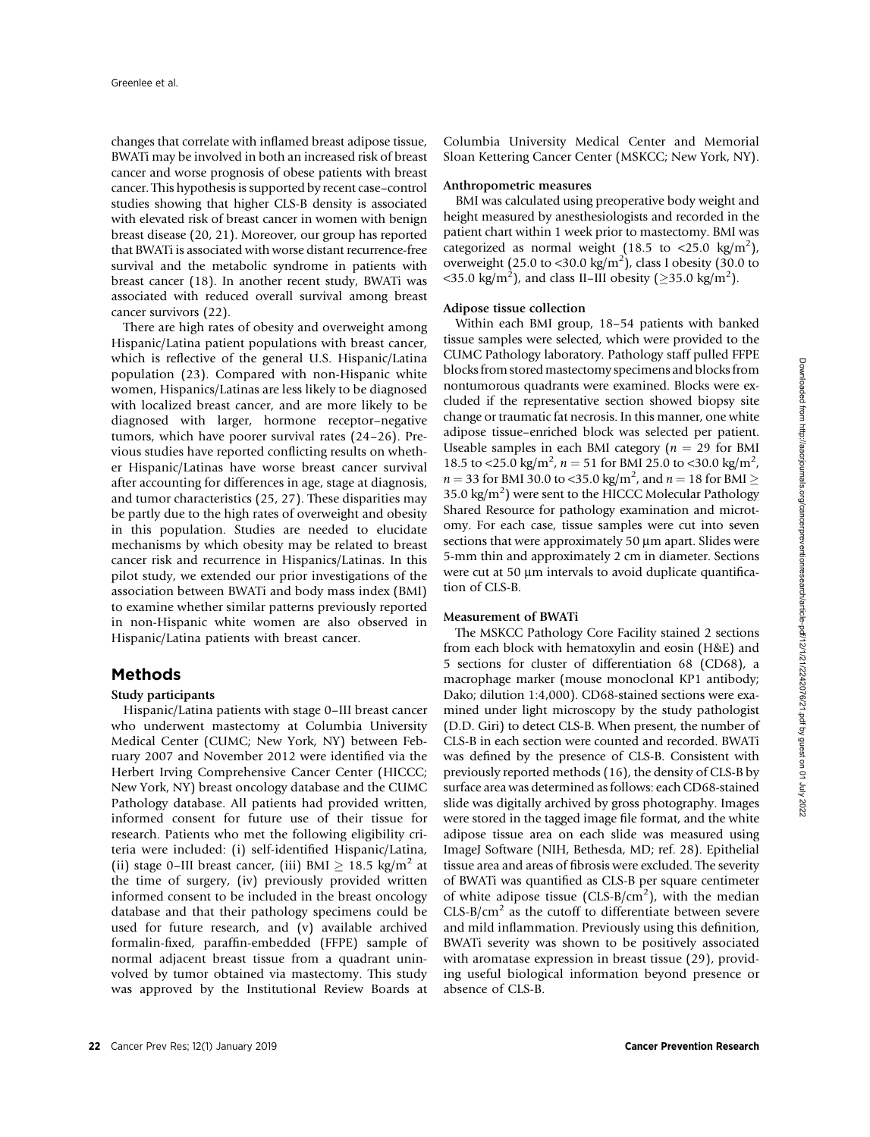changes that correlate with inflamed breast adipose tissue, BWATi may be involved in both an increased risk of breast cancer and worse prognosis of obese patients with breast cancer. This hypothesis is supported by recent case–control studies showing that higher CLS-B density is associated with elevated risk of breast cancer in women with benign breast disease (20, 21). Moreover, our group has reported that BWATi is associated with worse distant recurrence-free survival and the metabolic syndrome in patients with breast cancer (18). In another recent study, BWATi was associated with reduced overall survival among breast cancer survivors (22).

There are high rates of obesity and overweight among Hispanic/Latina patient populations with breast cancer, which is reflective of the general U.S. Hispanic/Latina population (23). Compared with non-Hispanic white women, Hispanics/Latinas are less likely to be diagnosed with localized breast cancer, and are more likely to be diagnosed with larger, hormone receptor–negative tumors, which have poorer survival rates (24–26). Previous studies have reported conflicting results on whether Hispanic/Latinas have worse breast cancer survival after accounting for differences in age, stage at diagnosis, and tumor characteristics (25, 27). These disparities may be partly due to the high rates of overweight and obesity in this population. Studies are needed to elucidate mechanisms by which obesity may be related to breast cancer risk and recurrence in Hispanics/Latinas. In this pilot study, we extended our prior investigations of the association between BWATi and body mass index (BMI) to examine whether similar patterns previously reported in non-Hispanic white women are also observed in Hispanic/Latina patients with breast cancer.

# Methods

## Study participants

Hispanic/Latina patients with stage 0–III breast cancer who underwent mastectomy at Columbia University Medical Center (CUMC; New York, NY) between February 2007 and November 2012 were identified via the Herbert Irving Comprehensive Cancer Center (HICCC; New York, NY) breast oncology database and the CUMC Pathology database. All patients had provided written, informed consent for future use of their tissue for research. Patients who met the following eligibility criteria were included: (i) self-identified Hispanic/Latina, (ii) stage 0-III breast cancer, (iii) BMI  $\geq$  18.5 kg/m<sup>2</sup> at the time of surgery, (iv) previously provided written informed consent to be included in the breast oncology database and that their pathology specimens could be used for future research, and (v) available archived formalin-fixed, paraffin-embedded (FFPE) sample of normal adjacent breast tissue from a quadrant uninvolved by tumor obtained via mastectomy. This study was approved by the Institutional Review Boards at Columbia University Medical Center and Memorial Sloan Kettering Cancer Center (MSKCC; New York, NY).

#### Anthropometric measures

BMI was calculated using preoperative body weight and height measured by anesthesiologists and recorded in the patient chart within 1 week prior to mastectomy. BMI was categorized as normal weight (18.5 to <25.0 kg/m<sup>2</sup>), overweight (25.0 to <30.0 kg/m<sup>2</sup>), class I obesity (30.0 to <35.0 kg/m<sup>2</sup>), and class II-III obesity ( $\ge$ 35.0 kg/m<sup>2</sup>).

#### Adipose tissue collection

Within each BMI group, 18–54 patients with banked tissue samples were selected, which were provided to the CUMC Pathology laboratory. Pathology staff pulled FFPE blocks from stored mastectomy specimens and blocks from nontumorous quadrants were examined. Blocks were excluded if the representative section showed biopsy site change or traumatic fat necrosis. In this manner, one white adipose tissue–enriched block was selected per patient. Useable samples in each BMI category ( $n = 29$  for BMI 18.5 to <25.0 kg/m<sup>2</sup>,  $n = 51$  for BMI 25.0 to <30.0 kg/m<sup>2</sup>,  $n = 33$  for BMI 30.0 to <35.0 kg/m<sup>2</sup>, and  $n = 18$  for BMI  $\geq$ 35.0 kg/m<sup>2</sup>) were sent to the HICCC Molecular Pathology Shared Resource for pathology examination and microtomy. For each case, tissue samples were cut into seven sections that were approximately  $50 \mu m$  apart. Slides were 5-mm thin and approximately 2 cm in diameter. Sections were cut at 50  $\mu$ m intervals to avoid duplicate quantification of CLS-B.

## Measurement of BWATi

The MSKCC Pathology Core Facility stained 2 sections from each block with hematoxylin and eosin (H&E) and 5 sections for cluster of differentiation 68 (CD68), a macrophage marker (mouse monoclonal KP1 antibody; Dako; dilution 1:4,000). CD68-stained sections were examined under light microscopy by the study pathologist (D.D. Giri) to detect CLS-B. When present, the number of CLS-B in each section were counted and recorded. BWATi was defined by the presence of CLS-B. Consistent with previously reported methods (16), the density of CLS-B by surface area was determined as follows: each CD68-stained slide was digitally archived by gross photography. Images were stored in the tagged image file format, and the white adipose tissue area on each slide was measured using ImageJ Software (NIH, Bethesda, MD; ref. 28). Epithelial tissue area and areas of fibrosis were excluded. The severity of BWATi was quantified as CLS-B per square centimeter of white adipose tissue (CLS-B/ $\text{cm}^2$ ), with the median  $CLS-B/cm<sup>2</sup>$  as the cutoff to differentiate between severe and mild inflammation. Previously using this definition, BWATi severity was shown to be positively associated with aromatase expression in breast tissue (29), providing useful biological information beyond presence or absence of CLS-B.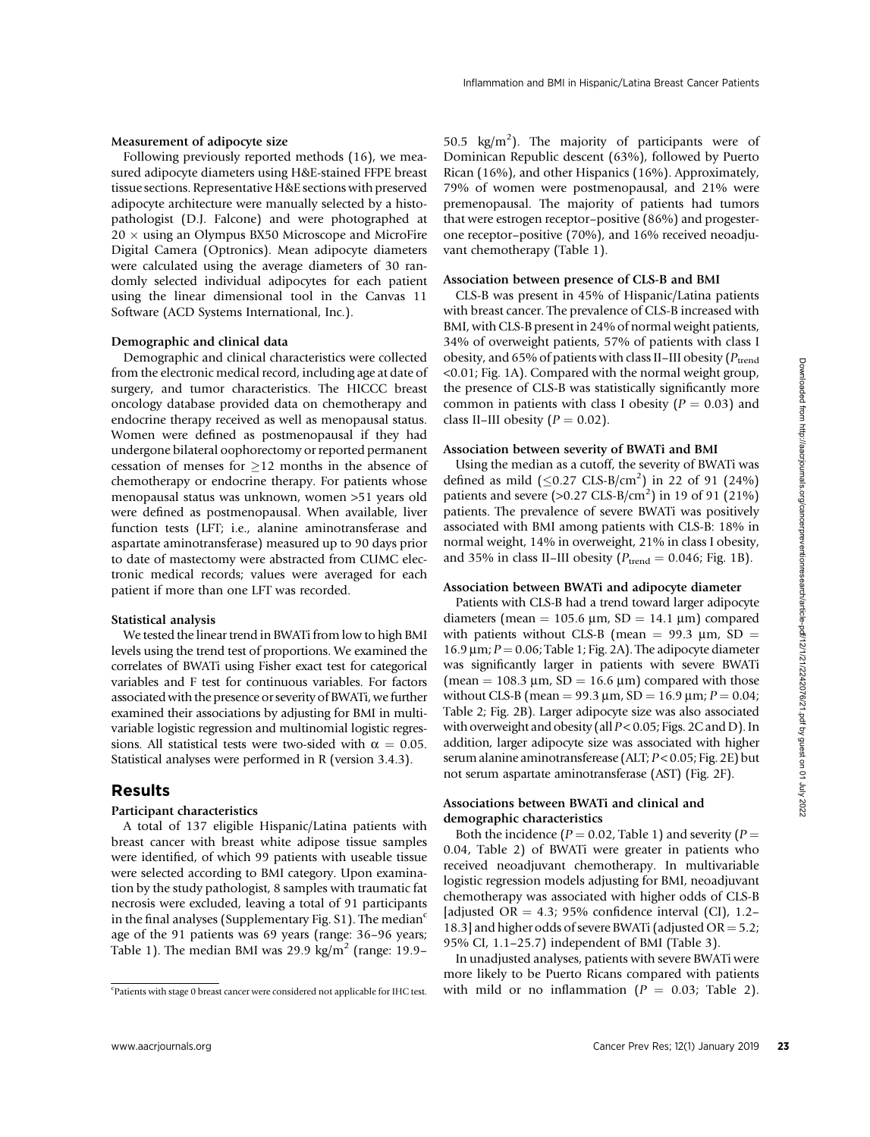#### Measurement of adipocyte size

Following previously reported methods (16), we measured adipocyte diameters using H&E-stained FFPE breast tissue sections. Representative H&E sections with preserved adipocyte architecture were manually selected by a histopathologist (D.J. Falcone) and were photographed at  $20 \times$  using an Olympus BX50 Microscope and MicroFire Digital Camera (Optronics). Mean adipocyte diameters were calculated using the average diameters of 30 randomly selected individual adipocytes for each patient using the linear dimensional tool in the Canvas 11 Software (ACD Systems International, Inc.).

## Demographic and clinical data

Demographic and clinical characteristics were collected from the electronic medical record, including age at date of surgery, and tumor characteristics. The HICCC breast oncology database provided data on chemotherapy and endocrine therapy received as well as menopausal status. Women were defined as postmenopausal if they had undergone bilateral oophorectomy or reported permanent cessation of menses for  $\geq$ 12 months in the absence of chemotherapy or endocrine therapy. For patients whose menopausal status was unknown, women >51 years old were defined as postmenopausal. When available, liver function tests (LFT; i.e., alanine aminotransferase and aspartate aminotransferase) measured up to 90 days prior to date of mastectomy were abstracted from CUMC electronic medical records; values were averaged for each patient if more than one LFT was recorded.

#### Statistical analysis

We tested the linear trend in BWATi from low to high BMI levels using the trend test of proportions. We examined the correlates of BWATi using Fisher exact test for categorical variables and F test for continuous variables. For factors associated with the presence or severity of BWATi, we further examined their associations by adjusting for BMI in multivariable logistic regression and multinomial logistic regressions. All statistical tests were two-sided with  $\alpha = 0.05$ . Statistical analyses were performed in R (version 3.4.3).

## Results

## Participant characteristics

A total of 137 eligible Hispanic/Latina patients with breast cancer with breast white adipose tissue samples were identified, of which 99 patients with useable tissue were selected according to BMI category. Upon examination by the study pathologist, 8 samples with traumatic fat necrosis were excluded, leaving a total of 91 participants in the final analyses (Supplementary Fig.  $S1$ ). The median<sup>c</sup> age of the 91 patients was 69 years (range: 36–96 years; Table 1). The median BMI was 29.9 kg/m<sup>2</sup> (range: 19.9–

50.5  $\text{kg/m}^2$ ). The majority of participants were of Dominican Republic descent (63%), followed by Puerto Rican (16%), and other Hispanics (16%). Approximately, 79% of women were postmenopausal, and 21% were premenopausal. The majority of patients had tumors that were estrogen receptor–positive (86%) and progesterone receptor–positive (70%), and 16% received neoadjuvant chemotherapy (Table 1).

#### Association between presence of CLS-B and BMI

CLS-B was present in 45% of Hispanic/Latina patients with breast cancer. The prevalence of CLS-B increased with BMI, with CLS-B present in 24% of normal weight patients, 34% of overweight patients, 57% of patients with class I obesity, and 65% of patients with class II-III obesity ( $P_{\text{trend}}$ <0.01; Fig. 1A). Compared with the normal weight group, the presence of CLS-B was statistically significantly more common in patients with class I obesity ( $P = 0.03$ ) and class II–III obesity ( $P = 0.02$ ).

#### Association between severity of BWATi and BMI

Using the median as a cutoff, the severity of BWATi was defined as mild  $(\leq 0.27 \text{ CLS-B/cm}^2)$  in 22 of 91 (24%) patients and severe  $(>0.27 \text{ CLS-B/cm}^2)$  in 19 of 91  $(21\%)$ patients. The prevalence of severe BWATi was positively associated with BMI among patients with CLS-B: 18% in normal weight, 14% in overweight, 21% in class I obesity, and 35% in class II–III obesity ( $P_{\text{trend}} = 0.046$ ; Fig. 1B).

#### Association between BWATi and adipocyte diameter

Patients with CLS-B had a trend toward larger adipocyte diameters (mean =  $105.6 \mu m$ , SD = 14.1  $\mu$ m) compared with patients without CLS-B (mean = 99.3  $\mu$ m, SD = 16.9  $\mu$ m;  $P = 0.06$ ; Table 1; Fig. 2A). The adipocyte diameter was significantly larger in patients with severe BWATi (mean  $= 108.3 \mu m$ , SD  $= 16.6 \mu m$ ) compared with those without CLS-B (mean = 99.3  $\mu$ m, SD = 16.9  $\mu$ m; P = 0.04; Table 2; Fig. 2B). Larger adipocyte size was also associated with overweight and obesity (all  $P < 0.05$ ; Figs. 2C and D). In addition, larger adipocyte size was associated with higher serum alanine aminotransferease (ALT; P < 0.05; Fig. 2E) but not serum aspartate aminotransferase (AST) (Fig. 2F).

## Associations between BWATi and clinical and demographic characteristics

Both the incidence ( $P = 0.02$ , Table 1) and severity ( $P =$ 0.04, Table 2) of BWATi were greater in patients who received neoadjuvant chemotherapy. In multivariable logistic regression models adjusting for BMI, neoadjuvant chemotherapy was associated with higher odds of CLS-B [adjusted OR  $=$  4.3; 95% confidence interval (CI), 1.2– 18.3] and higher odds of severe BWATi (adjusted  $OR = 5.2$ ; 95% CI, 1.1–25.7) independent of BMI (Table 3).

In unadjusted analyses, patients with severe BWATi were more likely to be Puerto Ricans compared with patients Expatients with stage 0 breast cancer were considered not applicable for IHC test. With mild or no inflammation ( $P = 0.03$ ; Table 2).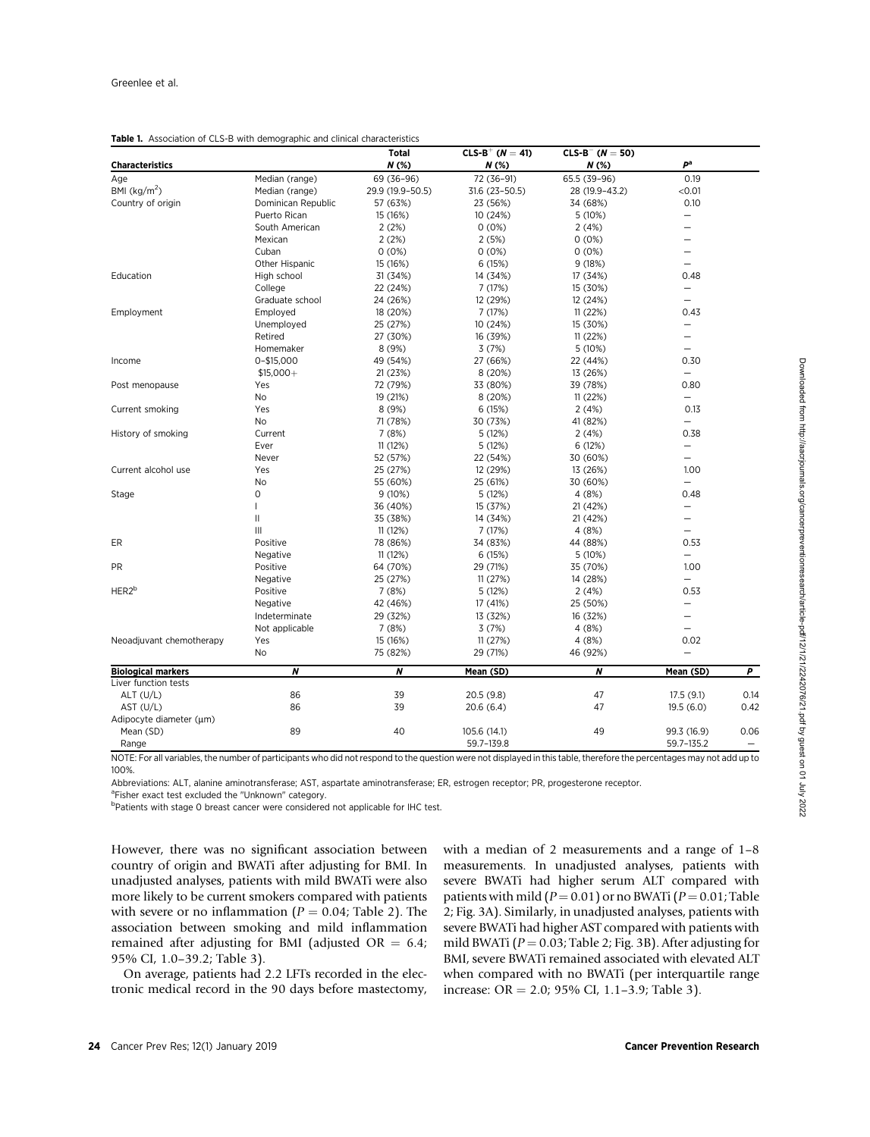#### Table 1. Association of CLS-B with demographic and clinical characteristics

|                           |                                       | <b>Total</b>     | $CLS-B^{+} (N = 41)$ | $CLS-B^{-} (N = 50)$ |                          |                   |
|---------------------------|---------------------------------------|------------------|----------------------|----------------------|--------------------------|-------------------|
| <b>Characteristics</b>    |                                       | N (%)            | N(%)                 | $N$ (%)              | P <sup>a</sup>           |                   |
| Age                       | Median (range)                        | 69 (36-96)       | 72 (36-91)           | 65.5 (39-96)         | 0.19                     |                   |
| BMI ( $\text{kg/m}^2$ )   | Median (range)                        | 29.9 (19.9-50.5) | 31.6 (23-50.5)       | 28 (19.9-43.2)       | < 0.01                   |                   |
| Country of origin         | Dominican Republic                    | 57 (63%)         | 23 (56%)             | 34 (68%)             | 0.10                     |                   |
|                           | Puerto Rican                          | 15 (16%)         | 10 (24%)             | 5(10%)               | $\overline{\phantom{0}}$ |                   |
|                           | South American                        | 2(2%)            | 0(0%)                | 2(4%)                | $\overline{\phantom{0}}$ |                   |
|                           | Mexican                               | 2(2%)            | 2(5%)                | 0(0%)                |                          |                   |
|                           | Cuban                                 | 0(0%)            | 0(0%)                | 0(0%)                | $\overline{\phantom{0}}$ |                   |
|                           | Other Hispanic                        | 15 (16%)         | 6(15%)               | 9(18%)               | $\overline{\phantom{0}}$ |                   |
| Education                 | High school                           | 31 (34%)         | 14 (34%)             | 17 (34%)             | 0.48                     |                   |
|                           | College                               | 22 (24%)         | 7(17%)               | 15 (30%)             | $\overline{\phantom{0}}$ |                   |
|                           | Graduate school                       | 24 (26%)         | 12 (29%)             | 12 (24%)             | $\overline{\phantom{0}}$ |                   |
| Employment                | Employed                              | 18 (20%)         | 7(17%)               | 11(22%)              | 0.43                     |                   |
|                           | Unemployed                            | 25 (27%)         | 10 (24%)             | 15 (30%)             | $\overline{\phantom{0}}$ |                   |
|                           | Retired                               | 27 (30%)         | 16 (39%)             | 11(22%)              | $\overline{\phantom{0}}$ |                   |
|                           | Homemaker                             | 8 (9%)           | 3(7%)                | 5 (10%)              | $\qquad \qquad -$        |                   |
| Income                    | 0-\$15,000                            | 49 (54%)         | 27 (66%)             | 22 (44%)             | 0.30                     |                   |
|                           | $$15,000+$                            | 21 (23%)         | 8 (20%)              | 13 (26%)             | $\qquad \qquad -$        |                   |
| Post menopause            | Yes                                   | 72 (79%)         | 33 (80%)             | 39 (78%)             | 0.80                     |                   |
|                           | No                                    | 19 (21%)         | 8 (20%)              | 11(22%)              | $\overline{\phantom{0}}$ |                   |
| Current smoking           | Yes                                   | 8 (9%)           | 6 (15%)              | 2(4%)                | 0.13                     |                   |
|                           | No                                    | 71 (78%)         | 30 (73%)             | 41 (82%)             | $\overline{\phantom{0}}$ |                   |
| History of smoking        | Current                               | 7(8%)            | 5 (12%)              |                      | 0.38                     |                   |
|                           |                                       | 11(12%)          | 5 (12%)              | 2(4%)<br>6 (12%)     |                          |                   |
|                           | Ever                                  |                  |                      |                      | $\qquad \qquad -$        |                   |
|                           | Never                                 | 52 (57%)         | 22 (54%)             | 30 (60%)             |                          |                   |
| Current alcohol use       | Yes                                   | 25 (27%)         | 12 (29%)             | 13 (26%)             | 1.00                     |                   |
|                           | No                                    | 55 (60%)         | 25 (61%)             | 30 (60%)             | $\qquad \qquad -$        |                   |
| Stage                     | $\circ$                               | 9(10%)           | 5(12%)               | 4(8%)                | 0.48                     |                   |
|                           |                                       | 36 (40%)         | 15 (37%)             | 21 (42%)             | -                        |                   |
|                           | $\begin{array}{c} \hline \end{array}$ | 35 (38%)         | 14 (34%)             | 21 (42%)             | $\overline{\phantom{0}}$ |                   |
|                           | $\mathbf{III}$                        | 11(12%)          | 7(17%)               | 4(8%)                | $\overline{\phantom{0}}$ |                   |
| ER                        | Positive                              | 78 (86%)         | 34 (83%)             | 44 (88%)             | 0.53                     |                   |
|                           | Negative                              | 11(12%)          | 6(15%)               | 5(10%)               | $\qquad \qquad -$        |                   |
| PR                        | Positive                              | 64 (70%)         | 29 (71%)             | 35 (70%)             | 1.00                     |                   |
|                           | Negative                              | 25 (27%)         | 11(27%)              | 14 (28%)             |                          |                   |
| HER2 <sup>b</sup>         | Positive                              | 7(8%)            | 5(12%)               | 2(4%)                | 0.53                     |                   |
|                           | Negative                              | 42 (46%)         | 17 (41%)             | 25 (50%)             | -                        |                   |
|                           | Indeterminate                         | 29 (32%)         | 13 (32%)             | 16 (32%)             | $\overline{\phantom{0}}$ |                   |
|                           | Not applicable                        | 7(8%)            | 3(7%)                | 4(8%)                | $\overline{\phantom{0}}$ |                   |
| Neoadjuvant chemotherapy  | Yes                                   | 15 (16%)         | 11(27%)              | 4(8%)                | 0.02                     |                   |
|                           | No                                    | 75 (82%)         | 29 (71%)             | 46 (92%)             | $\qquad \qquad -$        |                   |
| <b>Biological markers</b> | N                                     | N                | Mean (SD)            | N                    | Mean (SD)                | P                 |
| Liver function tests      |                                       |                  |                      |                      |                          |                   |
| $ALT$ (U/L)               | 86                                    | 39               | 20.5(9.8)            | 47                   | 17.5 (9.1)               | 0.14              |
| AST (U/L)                 | 86                                    | 39               | 20.6(6.4)            | 47                   | 19.5(6.0)                | 0.42              |
| Adipocyte diameter (µm)   |                                       |                  |                      |                      |                          |                   |
| Mean (SD)                 | 89                                    | 40               | 105.6 (14.1)         | 49                   | 99.3 (16.9)              | 0.06              |
|                           |                                       |                  |                      |                      | 59.7-135.2               | $\qquad \qquad -$ |
| Range                     |                                       |                  | 59.7-139.8           |                      |                          |                   |

NOTE: For all variables, the number of participants who did not respond to the question were not displayed in this table, therefore the percentages may not add up to 100%.

Abbreviations: ALT, alanine aminotransferase; AST, aspartate aminotransferase; ER, estrogen receptor; PR, progesterone receptor.

<sup>a</sup>Fisher exact test excluded the "Unknown" category.

**bPatients with stage O breast cancer were considered not applicable for IHC test.** 

However, there was no significant association between country of origin and BWATi after adjusting for BMI. In unadjusted analyses, patients with mild BWATi were also more likely to be current smokers compared with patients with severe or no inflammation ( $P = 0.04$ ; Table 2). The association between smoking and mild inflammation remained after adjusting for BMI (adjusted  $OR = 6.4$ ; 95% CI, 1.0–39.2; Table 3).

On average, patients had 2.2 LFTs recorded in the electronic medical record in the 90 days before mastectomy, with a median of 2 measurements and a range of 1–8 measurements. In unadjusted analyses, patients with severe BWATi had higher serum ALT compared with patients with mild ( $P = 0.01$ ) or no BWATi ( $P = 0.01$ ; Table 2; Fig. 3A). Similarly, in unadjusted analyses, patients with severe BWATi had higher AST compared with patients with mild BWATi ( $P = 0.03$ ; Table 2; Fig. 3B). After adjusting for BMI, severe BWATi remained associated with elevated ALT when compared with no BWATi (per interquartile range increase: OR =  $2.0$ ; 95% CI, 1.1-3.9; Table 3).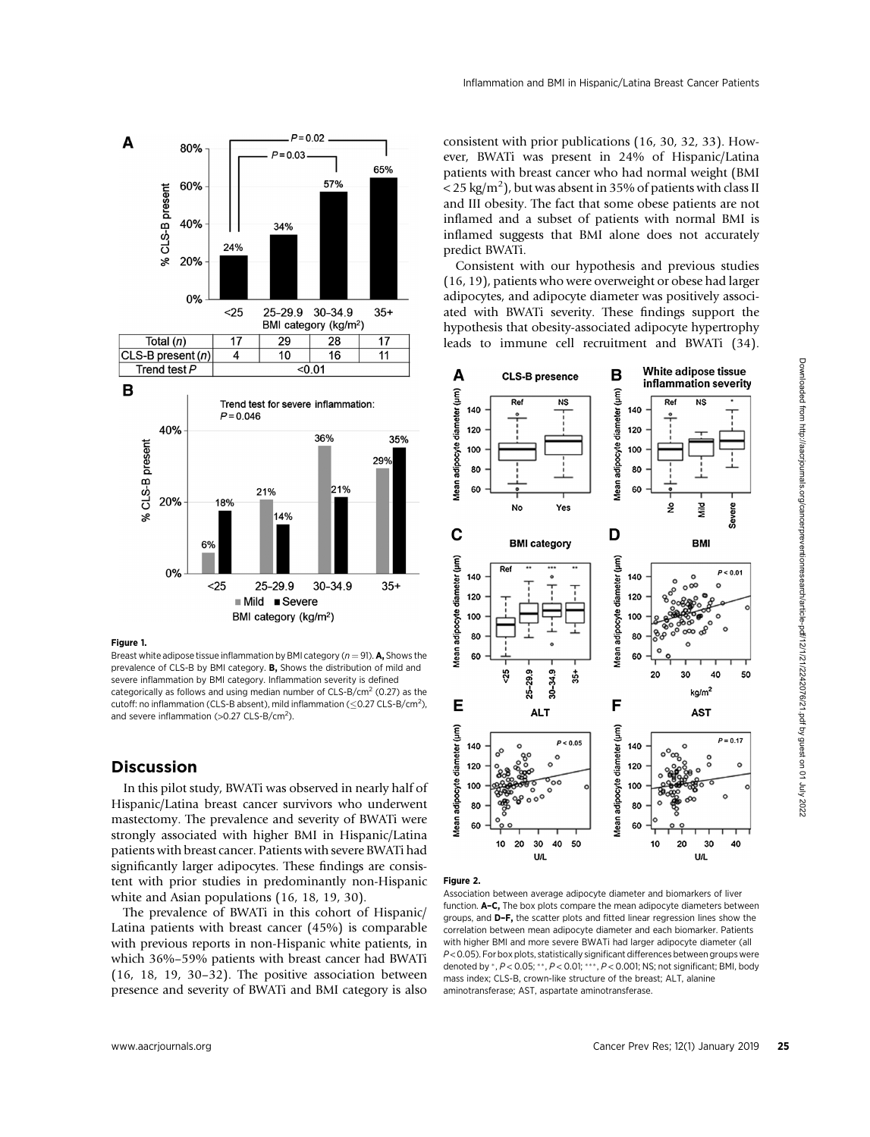

#### Figure 1.

Breast white adipose tissue inflammation by BMI category ( $n = 91$ ). A, Shows the prevalence of CLS-B by BMI category. B, Shows the distribution of mild and severe inflammation by BMI category. Inflammation severity is defined categorically as follows and using median number of CLS-B/ $\text{cm}^2$  (0.27) as the cutoff: no inflammation (CLS-B absent), mild inflammation ( $\leq$ 0.27 CLS-B/cm<sup>2</sup>), and severe inflammation  $(>0.27 \text{ CLS-B/cm}^2)$ .

# Discussion

In this pilot study, BWATi was observed in nearly half of Hispanic/Latina breast cancer survivors who underwent mastectomy. The prevalence and severity of BWATi were strongly associated with higher BMI in Hispanic/Latina patients with breast cancer. Patients with severe BWATi had significantly larger adipocytes. These findings are consistent with prior studies in predominantly non-Hispanic white and Asian populations (16, 18, 19, 30).

The prevalence of BWATi in this cohort of Hispanic/ Latina patients with breast cancer (45%) is comparable with previous reports in non-Hispanic white patients, in which 36%–59% patients with breast cancer had BWATi (16, 18, 19, 30–32). The positive association between presence and severity of BWATi and BMI category is also

consistent with prior publications (16, 30, 32, 33). However, BWATi was present in 24% of Hispanic/Latina patients with breast cancer who had normal weight (BMI  $<$  25 kg/m<sup>2</sup>), but was absent in 35% of patients with class II and III obesity. The fact that some obese patients are not inflamed and a subset of patients with normal BMI is inflamed suggests that BMI alone does not accurately predict BWATi.

Consistent with our hypothesis and previous studies (16, 19), patients who were overweight or obese had larger adipocytes, and adipocyte diameter was positively associated with BWATi severity. These findings support the hypothesis that obesity-associated adipocyte hypertrophy leads to immune cell recruitment and BWATi (34).



#### Figure 2.

Association between average adipocyte diameter and biomarkers of liver function. A-C, The box plots compare the mean adipocyte diameters between groups, and D–F, the scatter plots and fitted linear regression lines show the correlation between mean adipocyte diameter and each biomarker. Patients with higher BMI and more severe BWATi had larger adipocyte diameter (all  $P$  < 0.05). For box plots, statistically significant differences between groups were denoted by \*,  $P < 0.05$ ; \*\*,  $P < 0.01$ ; \*\*\*,  $P < 0.001$ ; NS; not significant; BMI, body mass index; CLS-B, crown-like structure of the breast; ALT, alanine aminotransferase; AST, aspartate aminotransferase.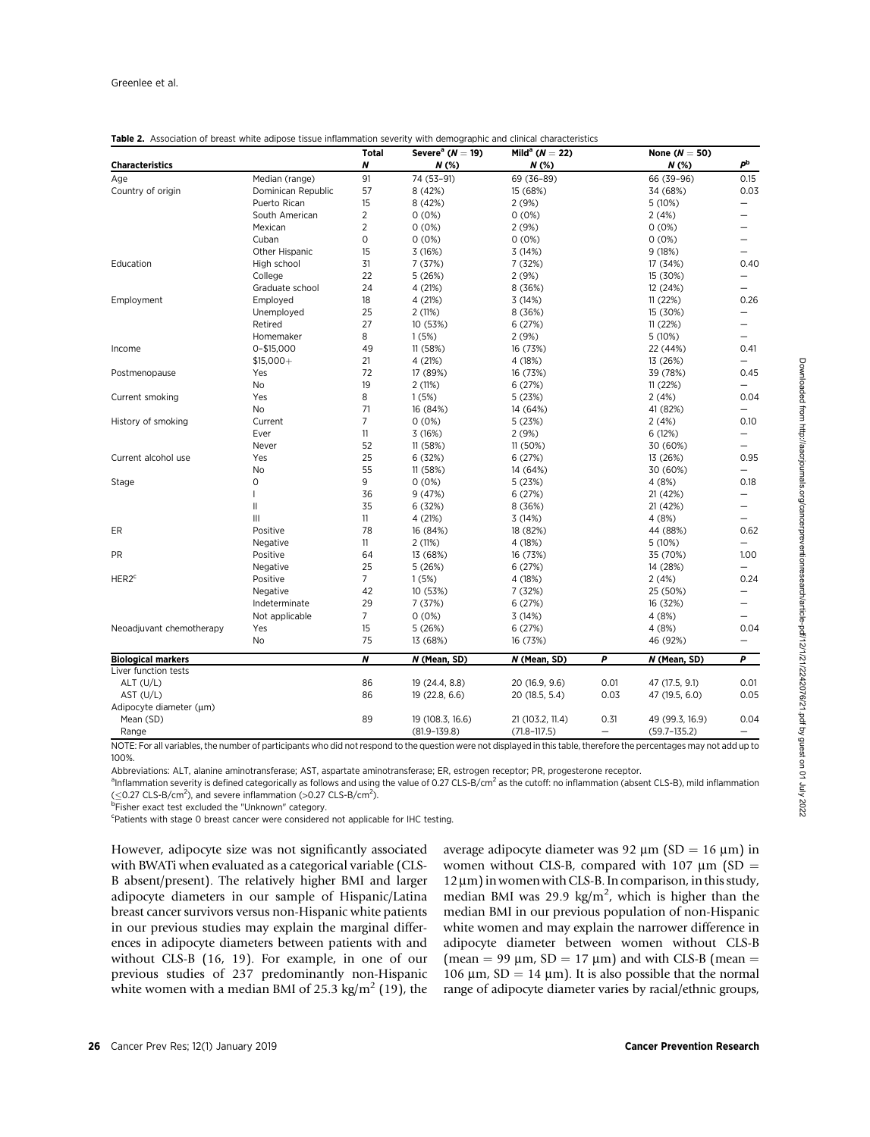|  |  |  | Table 2. Association of breast white adipose tissue inflammation severity with demographic and clinical characteristics |  |
|--|--|--|-------------------------------------------------------------------------------------------------------------------------|--|
|  |  |  |                                                                                                                         |  |

|                           |                            | <b>Total</b>         | Severe <sup>a</sup> ( $N = 19$ ) | Mild <sup>a</sup> ( $N = 22$ ) |                   | None $(N = 50)$  |                          |
|---------------------------|----------------------------|----------------------|----------------------------------|--------------------------------|-------------------|------------------|--------------------------|
| <b>Characteristics</b>    |                            | N                    | $N$ (%)                          | N(%)                           |                   | N (%)            | рb                       |
| Age                       | Median (range)             | 91                   | 74 (53-91)                       | 69 (36-89)                     |                   | 66 (39-96)       | 0.15                     |
| Country of origin         | Dominican Republic         | 57                   | 8 (42%)                          | 15 (68%)                       |                   | 34 (68%)         | 0.03                     |
|                           | Puerto Rican               | 15                   | 8 (42%)                          | 2(9%)                          |                   | 5 (10%)          |                          |
|                           | South American             | 2                    | $0(0\%)$                         | 0(0%)                          |                   | 2(4%)            |                          |
|                           | Mexican                    | 2                    | 0(0%)                            | 2(9%)                          |                   | 0(0%)            |                          |
|                           | Cuban                      | 0                    | $0(0\%)$                         | $0(0\%)$                       |                   | 0(0%)            |                          |
|                           | Other Hispanic             | 15                   | 3(16%)                           | 3 (14%)                        |                   | 9(18%)           |                          |
| Education                 | High school                | 31                   | 7(37%)                           | 7 (32%)                        |                   | 17 (34%)         | 0.40                     |
|                           | College                    | 22                   | 5(26%)                           | 2(9%)                          |                   | 15 (30%)         |                          |
|                           | Graduate school            | 24                   | 4 (21%)                          | 8 (36%)                        |                   | 12 (24%)         |                          |
| Employment                | Employed                   | 18                   | 4 (21%)                          | 3 (14%)                        |                   | 11(22%)          | 0.26                     |
|                           | Unemployed                 | 25                   | 2(11%)                           | 8 (36%)                        |                   | 15 (30%)         |                          |
|                           | Retired                    | 27                   | 10 (53%)                         | 6(27%)                         |                   | 11(22%)          | $\overline{\phantom{0}}$ |
|                           | Homemaker                  | 8                    | 1(5%)                            | 2(9%)                          |                   | 5 (10%)          |                          |
| Income                    | 0-\$15,000                 | 49                   | 11 (58%)                         | 16 (73%)                       |                   | 22 (44%)         | 0.41                     |
|                           | $$15,000+$                 | 21                   | 4 (21%)                          | 4 (18%)                        |                   | 13 (26%)         |                          |
| Postmenopause             | Yes                        | 72                   | 17 (89%)                         | 16 (73%)                       |                   | 39 (78%)         | 0.45                     |
|                           | <b>No</b>                  | 19                   | 2(11%)                           | 6(27%)                         |                   | 11(22%)          |                          |
| Current smoking           | Yes                        | 8                    | 1(5%)                            | 5(23%)                         |                   | 2(4%)            | 0.04                     |
|                           | No                         | 71                   | 16 (84%)                         | 14 (64%)                       |                   | 41 (82%)         |                          |
| History of smoking        | Current                    | $\overline{7}$       | $0(0\%)$                         | 5(23%)                         |                   | 2(4%)            | 0.10                     |
|                           | Ever                       | 11                   | 3(16%)                           | 2(9%)                          |                   | 6 (12%)          |                          |
|                           | Never                      | 52                   | 11 (58%)                         | 11 (50%)                       |                   | 30 (60%)         |                          |
| Current alcohol use       | Yes                        | 25                   | 6(32%)                           | 6(27%)                         |                   | 13 (26%)         | 0.95                     |
|                           | No                         | 55                   | 11 (58%)                         | 14 (64%)                       |                   | 30 (60%)         | $\overline{\phantom{0}}$ |
| Stage                     | $\mathbf 0$                | 9                    | 0(0%)                            | 5(23%)                         |                   | 4 (8%)           | 0.18                     |
|                           |                            | 36                   | 9(47%)                           | 6(27%)                         |                   | 21 (42%)         | —                        |
|                           | $\mathop{\textstyle\prod}$ | 35                   | 6(32%)                           | 8 (36%)                        |                   | 21 (42%)         | $\overline{\phantom{0}}$ |
|                           | $\mathbf{III}$             | 11                   | 4 (21%)                          | 3 (14%)                        |                   | 4 (8%)           |                          |
| ER                        | Positive                   | 78                   | 16 (84%)                         | 18 (82%)                       |                   | 44 (88%)         | 0.62                     |
|                           |                            | 11                   | 2(11%)                           | 4 (18%)                        |                   | 5 (10%)          |                          |
| PR                        | Negative<br>Positive       | 64                   |                                  |                                |                   |                  | 1.00                     |
|                           |                            | 25                   | 13 (68%)                         | 16 (73%)                       |                   | 35 (70%)         |                          |
|                           | Negative                   | $\overline{7}$       | 5(26%)                           | 6 (27%)                        |                   | 14 (28%)         | 0.24                     |
| HER2 <sup>c</sup>         | Positive                   | 42                   | 1(5%)                            | 4 (18%)                        |                   | 2(4%)            |                          |
|                           | Negative                   | 29                   | 10 (53%)                         | 7 (32%)                        |                   | 25 (50%)         |                          |
|                           | Indeterminate              |                      | 7 (37%)                          | 6 (27%)                        |                   | 16 (32%)         | $\overline{\phantom{0}}$ |
|                           | Not applicable             | $\overline{7}$<br>15 | 0(0%)                            | 3 (14%)                        |                   | 4 (8%)           | 0.04                     |
| Neoadjuvant chemotherapy  | Yes                        | 75                   | 5(26%)                           | 6(27%)                         |                   | 4 (8%)           | $\qquad \qquad -$        |
|                           | No                         |                      | 13 (68%)                         | 16 (73%)                       |                   | 46 (92%)         |                          |
| <b>Biological markers</b> |                            | N                    | N (Mean, SD)                     | N (Mean, SD)                   | P                 | N (Mean, SD)     | P                        |
| Liver function tests      |                            |                      |                                  |                                |                   |                  |                          |
| ALT $(U/L)$               |                            | 86                   | 19 (24.4, 8.8)                   | 20 (16.9, 9.6)                 | 0.01              | 47 (17.5, 9.1)   | 0.01                     |
| AST $(U/L)$               |                            | 86                   | 19 (22.8, 6.6)                   | 20 (18.5, 5.4)                 | 0.03              | 47 (19.5, 6.0)   | 0.05                     |
| Adipocyte diameter (µm)   |                            |                      |                                  |                                |                   |                  |                          |
| Mean (SD)                 |                            | 89                   | 19 (108.3, 16.6)                 | 21 (103.2, 11.4)               | 0.31              | 49 (99.3, 16.9)  | 0.04                     |
| Range                     |                            |                      | $(81.9 - 139.8)$                 | $(71.8 - 117.5)$               | $\qquad \qquad -$ | $(59.7 - 135.2)$ | $\qquad \qquad -$        |

NOTE: For all variables, the number of participants who did not respond to the question were not displayed in this table, therefore the percentages may not add up to 100%.

Abbreviations: ALT, alanine aminotransferase; AST, aspartate aminotransferase; ER, estrogen receptor; PR, progesterone receptor.

<sup>a</sup>Inflammation severity is defined categorically as follows and using the value of 0.27 CLS-B/cm<sup>2</sup> as the cutoff: no inflammation (absent CLS-B), mild inflammation  $(\leq 0.27 \text{ CLS-B/cm}^2)$ , and severe inflammation (>0.27 CLS-B/cm<sup>2</sup>).

<sup>b</sup>Fisher exact test excluded the "Unknown" category.

<sup>c</sup>Patients with stage 0 breast cancer were considered not applicable for IHC testing.

However, adipocyte size was not significantly associated with BWATi when evaluated as a categorical variable (CLS-B absent/present). The relatively higher BMI and larger adipocyte diameters in our sample of Hispanic/Latina breast cancer survivors versus non-Hispanic white patients in our previous studies may explain the marginal differences in adipocyte diameters between patients with and without CLS-B (16, 19). For example, in one of our previous studies of 237 predominantly non-Hispanic white women with a median BMI of 25.3 kg/m<sup>2</sup> (19), the average adipocyte diameter was 92  $\mu$ m (SD = 16  $\mu$ m) in women without CLS-B, compared with 107  $\mu$ m (SD =  $12 \mu m$ ) in women with CLS-B. In comparison, in this study, median BMI was 29.9 kg/m<sup>2</sup>, which is higher than the median BMI in our previous population of non-Hispanic white women and may explain the narrower difference in adipocyte diameter between women without CLS-B (mean = 99  $\mu$ m, SD = 17  $\mu$ m) and with CLS-B (mean = 106  $\mu$ m, SD = 14  $\mu$ m). It is also possible that the normal range of adipocyte diameter varies by racial/ethnic groups,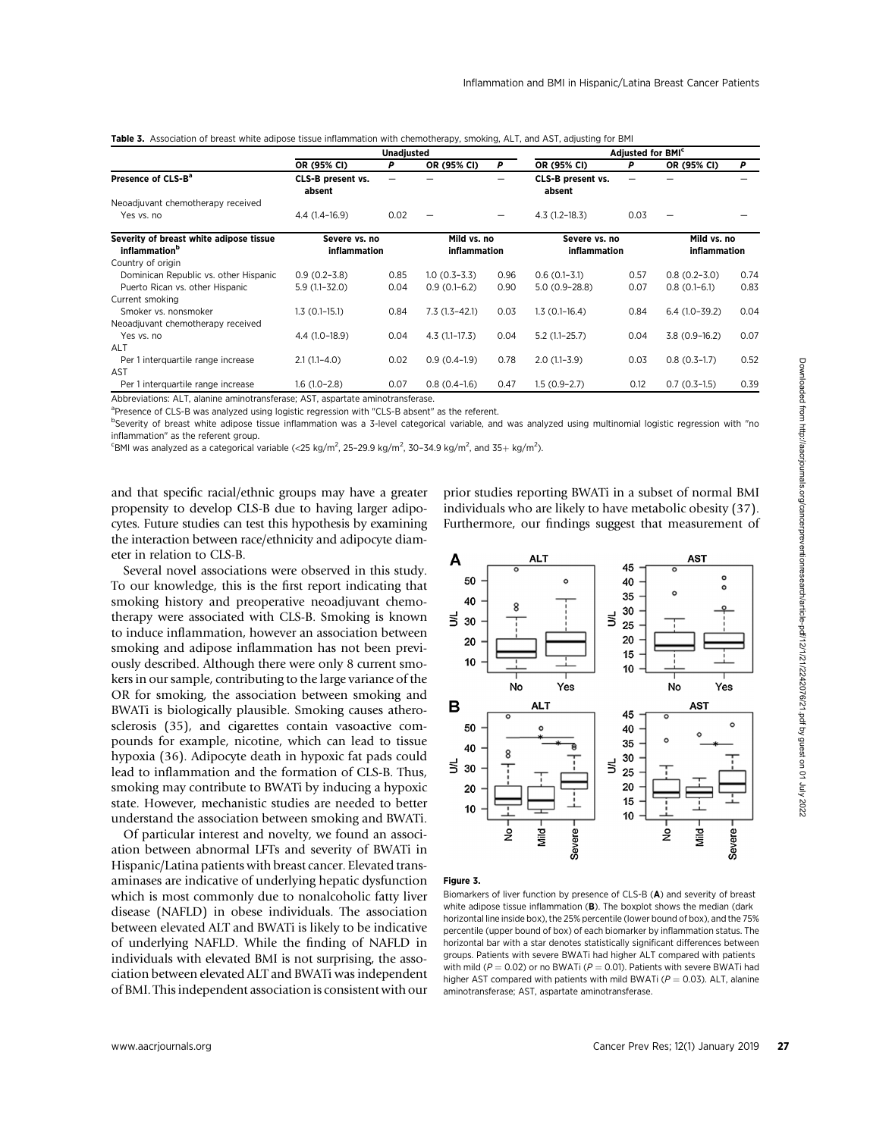Table 3. Association of breast white adipose tissue inflammation with chemotherapy, smoking, ALT, and AST, adjusting for BMI

|                                                                      | <b>Unadjusted</b>                    |      |                             |      | Adjusted for BMI <sup>c</sup> |      |                             |      |
|----------------------------------------------------------------------|--------------------------------------|------|-----------------------------|------|-------------------------------|------|-----------------------------|------|
|                                                                      | OR (95% CI)                          | P    | OR (95% CI)                 | P    | OR (95% CI)                   | Р    | OR (95% CI)                 | P    |
| Presence of CLS-B <sup>a</sup>                                       | CLS-B present vs.<br>absent          |      |                             |      | CLS-B present vs.<br>absent   |      |                             |      |
| Neoadjuvant chemotherapy received                                    |                                      |      |                             |      |                               |      |                             |      |
| Yes vs. no                                                           | $4.4(1.4-16.9)$                      | 0.02 |                             |      | $4.3(1.2-18.3)$               | 0.03 |                             |      |
| Severity of breast white adipose tissue<br>inflammation <sup>b</sup> | Severe vs. no<br><b>inflammation</b> |      | Mild vs. no<br>inflammation |      | Severe vs. no<br>inflammation |      | Mild vs. no<br>inflammation |      |
| Country of origin                                                    |                                      |      |                             |      |                               |      |                             |      |
| Dominican Republic vs. other Hispanic                                | $0.9(0.2 - 3.8)$                     | 0.85 | $1.0(0.3-3.3)$              | 0.96 | $0.6(0.1-3.1)$                | 0.57 | $0.8(0.2 - 3.0)$            | 0.74 |
| Puerto Rican vs. other Hispanic                                      | $5.9(1.1 - 32.0)$                    | 0.04 | $0.9(0.1-6.2)$              | 0.90 | $5.0(0.9-28.8)$               | 0.07 | $0.8(0.1-6.1)$              | 0.83 |
| Current smoking                                                      |                                      |      |                             |      |                               |      |                             |      |
| Smoker vs. nonsmoker                                                 | $1.3(0.1-15.1)$                      | 0.84 | $7.3(1.3-42.1)$             | 0.03 | $1.3(0.1-16.4)$               | 0.84 | $6.4(1.0-39.2)$             | 0.04 |
| Neoadjuvant chemotherapy received                                    |                                      |      |                             |      |                               |      |                             |      |
| Yes vs. no                                                           | $4.4(1.0-18.9)$                      | 0.04 | $4.3(1.1-17.3)$             | 0.04 | $5.2(1.1-25.7)$               | 0.04 | $3.8(0.9-16.2)$             | 0.07 |
| ALT                                                                  |                                      |      |                             |      |                               |      |                             |      |
| Per 1 interguartile range increase                                   | $2.1(1.1-4.0)$                       | 0.02 | $0.9(0.4-1.9)$              | 0.78 | $2.0(1.1-3.9)$                | 0.03 | $0.8(0.3-1.7)$              | 0.52 |
| AST                                                                  |                                      |      |                             |      |                               |      |                             |      |
| Per 1 interguartile range increase                                   | $1.6(1.0-2.8)$                       | 0.07 | $0.8(0.4-1.6)$              | 0.47 | $1.5(0.9-2.7)$                | 0.12 | $0.7(0.3-1.5)$              | 0.39 |

Abbreviations: ALT, alanine aminotransferase; AST, aspartate aminotransferase.

<sup>a</sup>Presence of CLS-B was analyzed using logistic regression with "CLS-B absent" as the referent.

<sup>b</sup>Severity of breast white adipose tissue inflammation was a 3-level categorical variable, and was analyzed using multinomial logistic regression with "no inflammation" as the referent group.

<sup>c</sup>BMI was analyzed as a categorical variable (<25 kg/m<sup>2</sup>, 25–29.9 kg/m<sup>2</sup>, 30–34.9 kg/m<sup>2</sup>, and 35 $+$  kg/m<sup>2</sup>).

and that specific racial/ethnic groups may have a greater propensity to develop CLS-B due to having larger adipocytes. Future studies can test this hypothesis by examining the interaction between race/ethnicity and adipocyte diameter in relation to CLS-B.

prior studies reporting BWATi in a subset of normal BMI individuals who are likely to have metabolic obesity (37). Furthermore, our findings suggest that measurement of

Several novel associations were observed in this study. To our knowledge, this is the first report indicating that smoking history and preoperative neoadjuvant chemotherapy were associated with CLS-B. Smoking is known to induce inflammation, however an association between smoking and adipose inflammation has not been previously described. Although there were only 8 current smokers in our sample, contributing to the large variance of the OR for smoking, the association between smoking and BWATi is biologically plausible. Smoking causes atherosclerosis (35), and cigarettes contain vasoactive compounds for example, nicotine, which can lead to tissue hypoxia (36). Adipocyte death in hypoxic fat pads could lead to inflammation and the formation of CLS-B. Thus, smoking may contribute to BWATi by inducing a hypoxic state. However, mechanistic studies are needed to better understand the association between smoking and BWATi.

Of particular interest and novelty, we found an association between abnormal LFTs and severity of BWATi in Hispanic/Latina patients with breast cancer. Elevated transaminases are indicative of underlying hepatic dysfunction which is most commonly due to nonalcoholic fatty liver disease (NAFLD) in obese individuals. The association between elevated ALT and BWATi is likely to be indicative of underlying NAFLD. While the finding of NAFLD in individuals with elevated BMI is not surprising, the association between elevated ALT and BWATi was independent of BMI. This independent association is consistent with our



#### Figure 3.

Biomarkers of liver function by presence of CLS-B (A) and severity of breast white adipose tissue inflammation (B). The boxplot shows the median (dark horizontal line inside box), the 25% percentile (lower bound of box), and the 75% percentile (upper bound of box) of each biomarker by inflammation status. The horizontal bar with a star denotes statistically significant differences between groups. Patients with severe BWATi had higher ALT compared with patients with mild ( $P = 0.02$ ) or no BWATi ( $P = 0.01$ ). Patients with severe BWATi had higher AST compared with patients with mild BWATi ( $P = 0.03$ ). ALT, alanine aminotransferase; AST, aspartate aminotransferase.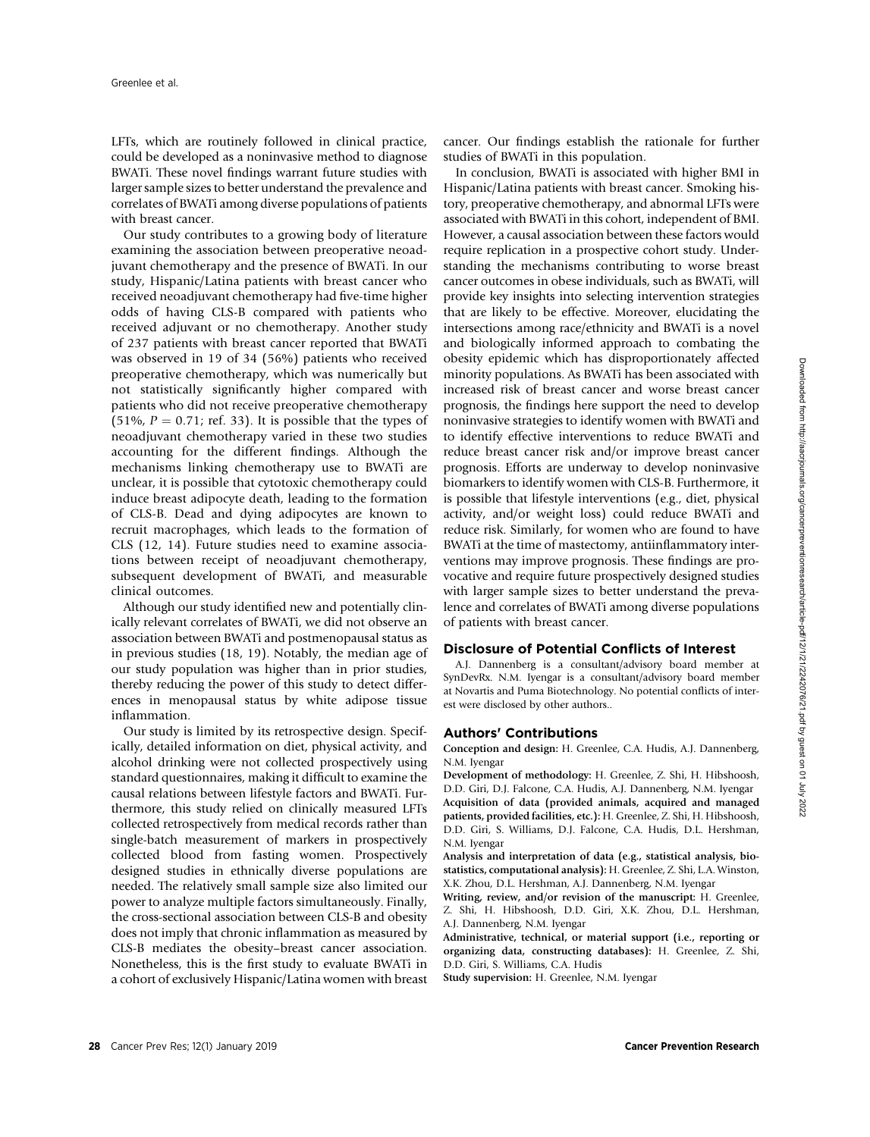LFTs, which are routinely followed in clinical practice, could be developed as a noninvasive method to diagnose BWATi. These novel findings warrant future studies with larger sample sizes to better understand the prevalence and correlates of BWATi among diverse populations of patients with breast cancer.

Our study contributes to a growing body of literature examining the association between preoperative neoadjuvant chemotherapy and the presence of BWATi. In our study, Hispanic/Latina patients with breast cancer who received neoadjuvant chemotherapy had five-time higher odds of having CLS-B compared with patients who received adjuvant or no chemotherapy. Another study of 237 patients with breast cancer reported that BWATi was observed in 19 of 34 (56%) patients who received preoperative chemotherapy, which was numerically but not statistically significantly higher compared with patients who did not receive preoperative chemotherapy (51%,  $P = 0.71$ ; ref. 33). It is possible that the types of neoadjuvant chemotherapy varied in these two studies accounting for the different findings. Although the mechanisms linking chemotherapy use to BWATi are unclear, it is possible that cytotoxic chemotherapy could induce breast adipocyte death, leading to the formation of CLS-B. Dead and dying adipocytes are known to recruit macrophages, which leads to the formation of CLS (12, 14). Future studies need to examine associations between receipt of neoadjuvant chemotherapy, subsequent development of BWATi, and measurable clinical outcomes.

Although our study identified new and potentially clinically relevant correlates of BWATi, we did not observe an association between BWATi and postmenopausal status as in previous studies (18, 19). Notably, the median age of our study population was higher than in prior studies, thereby reducing the power of this study to detect differences in menopausal status by white adipose tissue inflammation.

Our study is limited by its retrospective design. Specifically, detailed information on diet, physical activity, and alcohol drinking were not collected prospectively using standard questionnaires, making it difficult to examine the causal relations between lifestyle factors and BWATi. Furthermore, this study relied on clinically measured LFTs collected retrospectively from medical records rather than single-batch measurement of markers in prospectively collected blood from fasting women. Prospectively designed studies in ethnically diverse populations are needed. The relatively small sample size also limited our power to analyze multiple factors simultaneously. Finally, the cross-sectional association between CLS-B and obesity does not imply that chronic inflammation as measured by CLS-B mediates the obesity–breast cancer association. Nonetheless, this is the first study to evaluate BWATi in a cohort of exclusively Hispanic/Latina women with breast

cancer. Our findings establish the rationale for further studies of BWATi in this population.

In conclusion, BWATi is associated with higher BMI in Hispanic/Latina patients with breast cancer. Smoking history, preoperative chemotherapy, and abnormal LFTs were associated with BWATi in this cohort, independent of BMI. However, a causal association between these factors would require replication in a prospective cohort study. Understanding the mechanisms contributing to worse breast cancer outcomes in obese individuals, such as BWATi, will provide key insights into selecting intervention strategies that are likely to be effective. Moreover, elucidating the intersections among race/ethnicity and BWATi is a novel and biologically informed approach to combating the obesity epidemic which has disproportionately affected minority populations. As BWATi has been associated with increased risk of breast cancer and worse breast cancer prognosis, the findings here support the need to develop noninvasive strategies to identify women with BWATi and to identify effective interventions to reduce BWATi and reduce breast cancer risk and/or improve breast cancer prognosis. Efforts are underway to develop noninvasive biomarkers to identify women with CLS-B. Furthermore, it is possible that lifestyle interventions (e.g., diet, physical activity, and/or weight loss) could reduce BWATi and reduce risk. Similarly, for women who are found to have BWATi at the time of mastectomy, antiinflammatory interventions may improve prognosis. These findings are provocative and require future prospectively designed studies with larger sample sizes to better understand the prevalence and correlates of BWATi among diverse populations of patients with breast cancer.

## Disclosure of Potential Conflicts of Interest

A.J. Dannenberg is a consultant/advisory board member at SynDevRx. N.M. Iyengar is a consultant/advisory board member at Novartis and Puma Biotechnology. No potential conflicts of interest were disclosed by other authors..

#### Authors' Contributions

Conception and design: H. Greenlee, C.A. Hudis, A.J. Dannenberg, N.M. Iyengar

Development of methodology: H. Greenlee, Z. Shi, H. Hibshoosh, D.D. Giri, D.J. Falcone, C.A. Hudis, A.J. Dannenberg, N.M. Iyengar Acquisition of data (provided animals, acquired and managed patients, provided facilities, etc.): H. Greenlee, Z. Shi, H. Hibshoosh, D.D. Giri, S. Williams, D.J. Falcone, C.A. Hudis, D.L. Hershman, N.M. Iyengar

Analysis and interpretation of data (e.g., statistical analysis, biostatistics, computational analysis): H. Greenlee, Z. Shi, L.A. Winston, X.K. Zhou, D.L. Hershman, A.J. Dannenberg, N.M. Iyengar

Writing, review, and/or revision of the manuscript: H. Greenlee, Z. Shi, H. Hibshoosh, D.D. Giri, X.K. Zhou, D.L. Hershman, A.J. Dannenberg, N.M. Iyengar

Administrative, technical, or material support (i.e., reporting or organizing data, constructing databases): H. Greenlee, Z. Shi, D.D. Giri, S. Williams, C.A. Hudis

Study supervision: H. Greenlee, N.M. Iyengar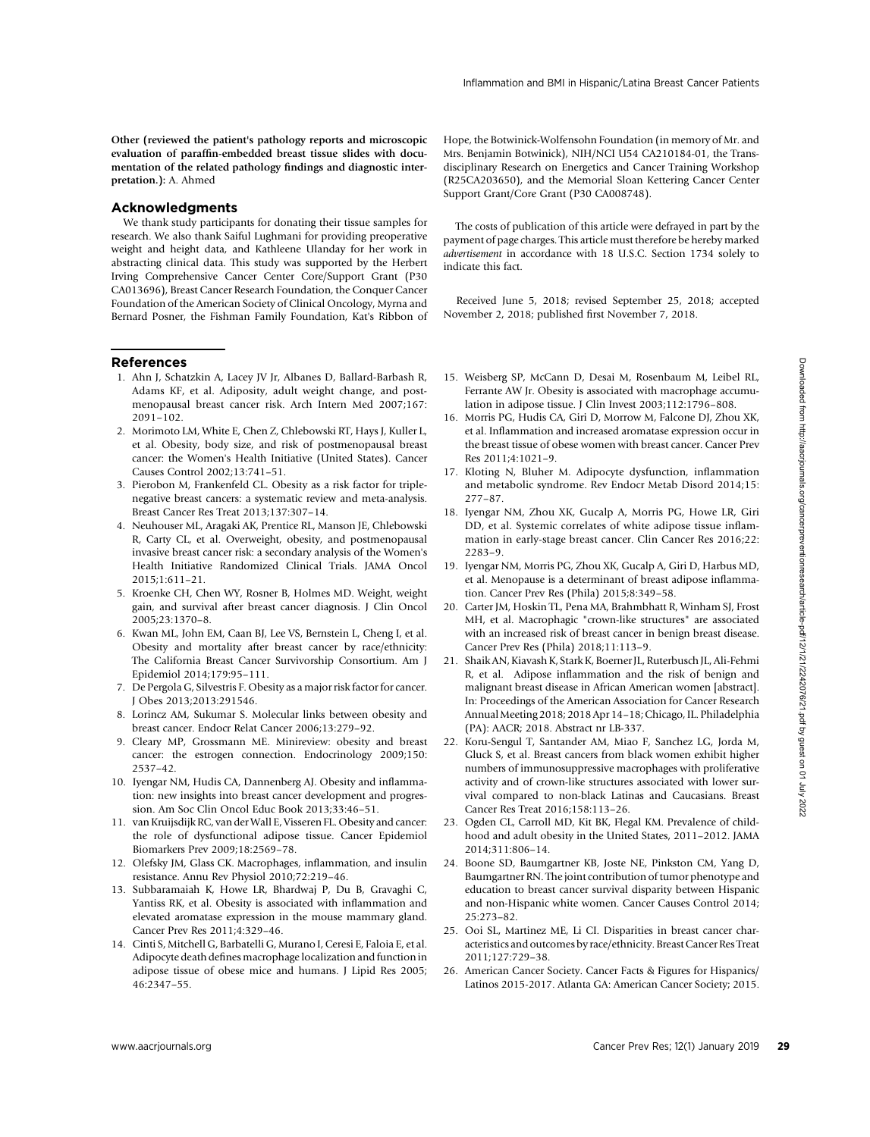Other (reviewed the patient's pathology reports and microscopic evaluation of paraffin-embedded breast tissue slides with documentation of the related pathology findings and diagnostic interpretation.): A. Ahmed

### Acknowledgments

We thank study participants for donating their tissue samples for research. We also thank Saiful Lughmani for providing preoperative weight and height data, and Kathleene Ulanday for her work in abstracting clinical data. This study was supported by the Herbert Irving Comprehensive Cancer Center Core/Support Grant (P30 CA013696), Breast Cancer Research Foundation, the Conquer Cancer Foundation of the American Society of Clinical Oncology, Myrna and Bernard Posner, the Fishman Family Foundation, Kat's Ribbon of

#### References

- 1. Ahn J, Schatzkin A, Lacey JV Jr, Albanes D, Ballard-Barbash R, Adams KF, et al. Adiposity, adult weight change, and postmenopausal breast cancer risk. Arch Intern Med 2007;167: 2091–102.
- 2. Morimoto LM, White E, Chen Z, Chlebowski RT, Hays J, Kuller L, et al. Obesity, body size, and risk of postmenopausal breast cancer: the Women's Health Initiative (United States). Cancer Causes Control 2002;13:741–51.
- 3. Pierobon M, Frankenfeld CL. Obesity as a risk factor for triplenegative breast cancers: a systematic review and meta-analysis. Breast Cancer Res Treat 2013;137:307–14.
- 4. Neuhouser ML, Aragaki AK, Prentice RL, Manson JE, Chlebowski R, Carty CL, et al. Overweight, obesity, and postmenopausal invasive breast cancer risk: a secondary analysis of the Women's Health Initiative Randomized Clinical Trials. JAMA Oncol 2015;1:611–21.
- 5. Kroenke CH, Chen WY, Rosner B, Holmes MD. Weight, weight gain, and survival after breast cancer diagnosis. J Clin Oncol 2005;23:1370–8.
- 6. Kwan ML, John EM, Caan BJ, Lee VS, Bernstein L, Cheng I, et al. Obesity and mortality after breast cancer by race/ethnicity: The California Breast Cancer Survivorship Consortium. Am J Epidemiol 2014;179:95–111.
- 7. De Pergola G, Silvestris F. Obesity as a major risk factor for cancer. J Obes 2013;2013:291546.
- 8. Lorincz AM, Sukumar S. Molecular links between obesity and breast cancer. Endocr Relat Cancer 2006;13:279–92.
- 9. Cleary MP, Grossmann ME. Minireview: obesity and breast cancer: the estrogen connection. Endocrinology 2009;150: 2537–42.
- 10. Iyengar NM, Hudis CA, Dannenberg AJ. Obesity and inflammation: new insights into breast cancer development and progression. Am Soc Clin Oncol Educ Book 2013;33:46–51.
- 11. van Kruijsdijk RC, van der Wall E, Visseren FL. Obesity and cancer: the role of dysfunctional adipose tissue. Cancer Epidemiol Biomarkers Prev 2009;18:2569–78.
- 12. Olefsky JM, Glass CK. Macrophages, inflammation, and insulin resistance. Annu Rev Physiol 2010;72:219–46.
- 13. Subbaramaiah K, Howe LR, Bhardwaj P, Du B, Gravaghi C, Yantiss RK, et al. Obesity is associated with inflammation and elevated aromatase expression in the mouse mammary gland. Cancer Prev Res 2011;4:329–46.
- 14. Cinti S, Mitchell G, Barbatelli G, Murano I, Ceresi E, Faloia E, et al. Adipocyte death defines macrophage localization and function in adipose tissue of obese mice and humans. J Lipid Res 2005; 46:2347–55.

Hope, the Botwinick-Wolfensohn Foundation (in memory of Mr. and Mrs. Benjamin Botwinick), NIH/NCI U54 CA210184-01, the Transdisciplinary Research on Energetics and Cancer Training Workshop (R25CA203650), and the Memorial Sloan Kettering Cancer Center Support Grant/Core Grant (P30 CA008748).

The costs of publication of this article were defrayed in part by the payment of page charges. This article must therefore be hereby marked advertisement in accordance with 18 U.S.C. Section 1734 solely to indicate this fact.

Received June 5, 2018; revised September 25, 2018; accepted November 2, 2018; published first November 7, 2018.

- 15. Weisberg SP, McCann D, Desai M, Rosenbaum M, Leibel RL, Ferrante AW Jr. Obesity is associated with macrophage accumulation in adipose tissue. J Clin Invest 2003;112:1796–808.
- 16. Morris PG, Hudis CA, Giri D, Morrow M, Falcone DJ, Zhou XK, et al. Inflammation and increased aromatase expression occur in the breast tissue of obese women with breast cancer. Cancer Prev Res 2011;4:1021–9.
- 17. Kloting N, Bluher M. Adipocyte dysfunction, inflammation and metabolic syndrome. Rev Endocr Metab Disord 2014;15: 277–87.
- 18. Iyengar NM, Zhou XK, Gucalp A, Morris PG, Howe LR, Giri DD, et al. Systemic correlates of white adipose tissue inflammation in early-stage breast cancer. Clin Cancer Res 2016;22: 2283–9.
- 19. Iyengar NM, Morris PG, Zhou XK, Gucalp A, Giri D, Harbus MD, et al. Menopause is a determinant of breast adipose inflammation. Cancer Prev Res (Phila) 2015;8:349–58.
- 20. Carter JM, Hoskin TL, Pena MA, Brahmbhatt R, Winham SJ, Frost MH, et al. Macrophagic "crown-like structures" are associated with an increased risk of breast cancer in benign breast disease. Cancer Prev Res (Phila) 2018;11:113–9.
- 21. Shaik AN, Kiavash K, Stark K, Boerner JL, Ruterbusch JL, Ali-Fehmi R, et al. Adipose inflammation and the risk of benign and malignant breast disease in African American women [abstract]. In: Proceedings of the American Association for Cancer Research Annual Meeting 2018; 2018 Apr 14-18; Chicago, IL. Philadelphia (PA): AACR; 2018. Abstract nr LB-337.
- 22. Koru-Sengul T, Santander AM, Miao F, Sanchez LG, Jorda M, Gluck S, et al. Breast cancers from black women exhibit higher numbers of immunosuppressive macrophages with proliferative activity and of crown-like structures associated with lower survival compared to non-black Latinas and Caucasians. Breast Cancer Res Treat 2016;158:113–26.
- 23. Ogden CL, Carroll MD, Kit BK, Flegal KM. Prevalence of childhood and adult obesity in the United States, 2011–2012. JAMA 2014;311:806–14.
- 24. Boone SD, Baumgartner KB, Joste NE, Pinkston CM, Yang D, Baumgartner RN. The joint contribution of tumor phenotype and education to breast cancer survival disparity between Hispanic and non-Hispanic white women. Cancer Causes Control 2014; 25:273–82.
- 25. Ooi SL, Martinez ME, Li CI. Disparities in breast cancer characteristics and outcomes by race/ethnicity. Breast Cancer Res Treat 2011;127:729–38.
- 26. American Cancer Society. Cancer Facts & Figures for Hispanics/ Latinos 2015-2017. Atlanta GA: American Cancer Society; 2015.